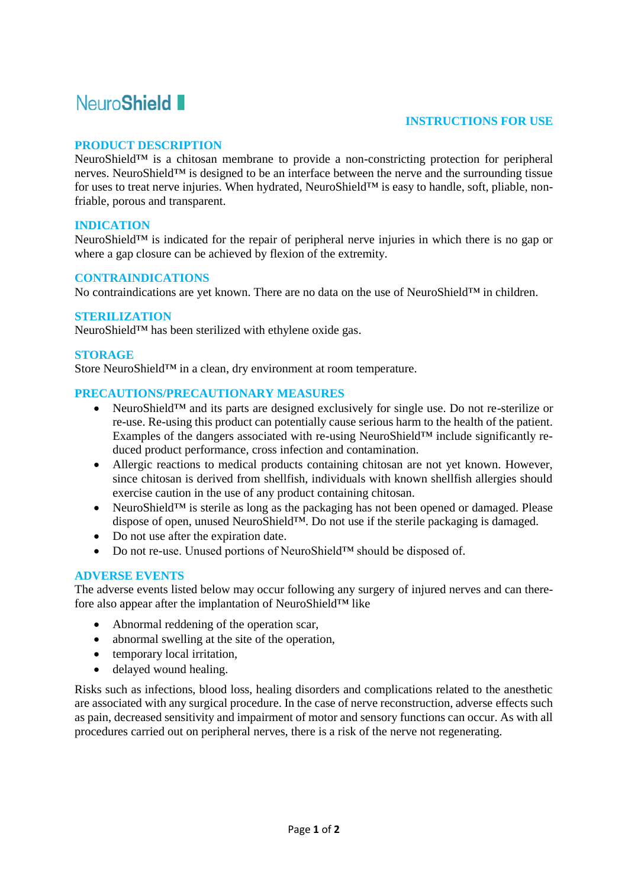# Neuro**Shield**

## **INSTRUCTIONS FOR USE**

## **PRODUCT DESCRIPTION**

NeuroShield™ is a chitosan membrane to provide a non-constricting protection for peripheral nerves. NeuroShield™ is designed to be an interface between the nerve and the surrounding tissue for uses to treat nerve injuries. When hydrated, NeuroShield™ is easy to handle, soft, pliable, nonfriable, porous and transparent.

## **INDICATION**

NeuroShield™ is indicated for the repair of peripheral nerve injuries in which there is no gap or where a gap closure can be achieved by flexion of the extremity.

#### **CONTRAINDICATIONS**

No contraindications are yet known. There are no data on the use of NeuroShield™ in children.

#### **STERILIZATION**

NeuroShield™ has been sterilized with ethylene oxide gas.

#### **STORAGE**

Store NeuroShield™ in a clean, dry environment at room temperature.

#### **PRECAUTIONS/PRECAUTIONARY MEASURES**

- NeuroShield<sup>™</sup> and its parts are designed exclusively for single use. Do not re-sterilize or re-use. Re-using this product can potentially cause serious harm to the health of the patient. Examples of the dangers associated with re-using NeuroShield™ include significantly reduced product performance, cross infection and contamination.
- Allergic reactions to medical products containing chitosan are not yet known. However, since chitosan is derived from shellfish, individuals with known shellfish allergies should exercise caution in the use of any product containing chitosan.
- NeuroShield™ is sterile as long as the packaging has not been opened or damaged. Please dispose of open, unused NeuroShield™. Do not use if the sterile packaging is damaged.
- Do not use after the expiration date.
- Do not re-use. Unused portions of NeuroShield™ should be disposed of.

## **ADVERSE EVENTS**

The adverse events listed below may occur following any surgery of injured nerves and can therefore also appear after the implantation of NeuroShield™ like

- Abnormal reddening of the operation scar,
- abnormal swelling at the site of the operation,
- temporary local irritation.
- delayed wound healing.

Risks such as infections, blood loss, healing disorders and complications related to the anesthetic are associated with any surgical procedure. In the case of nerve reconstruction, adverse effects such as pain, decreased sensitivity and impairment of motor and sensory functions can occur. As with all procedures carried out on peripheral nerves, there is a risk of the nerve not regenerating.